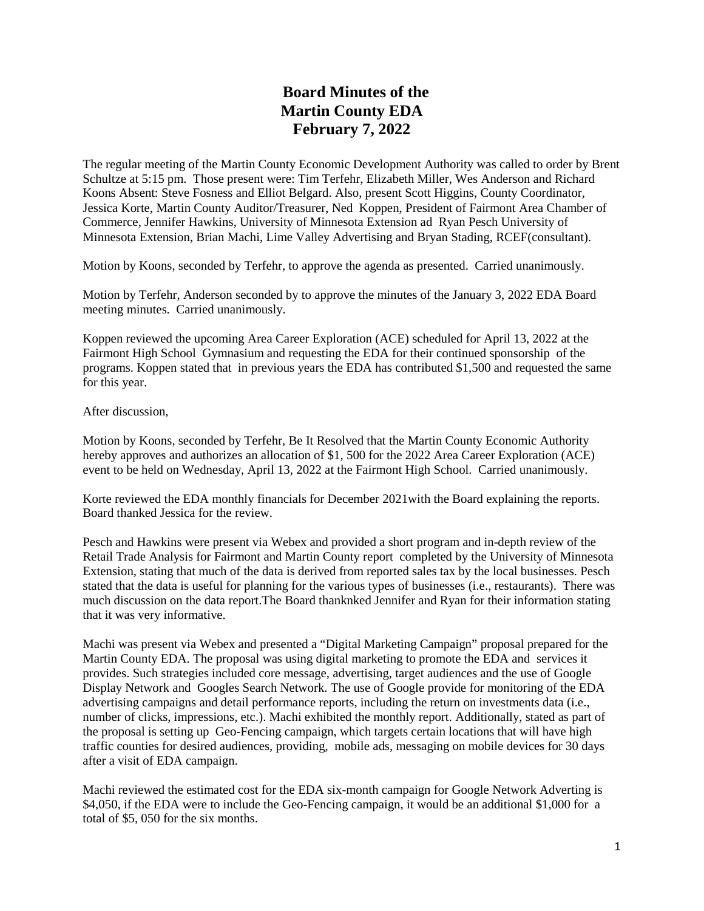## **Board Minutes of the Martin County EDA February 7, 2022**

The regular meeting of the Martin County Economic Development Authority was called to order by Brent Schultze at 5:15 pm. Those present were: Tim Terfehr, Elizabeth Miller, Wes Anderson and Richard Koons Absent: Steve Fosness and Elliot Belgard. Also, present Scott Higgins, County Coordinator, Jessica Korte, Martin County Auditor/Treasurer, Ned Koppen, President of Fairmont Area Chamber of Commerce, Jennifer Hawkins, University of Minnesota Extension ad Ryan Pesch University of Minnesota Extension, Brian Machi, Lime Valley Advertising and Bryan Stading, RCEF(consultant).

Motion by Koons, seconded by Terfehr, to approve the agenda as presented. Carried unanimously.

Motion by Terfehr, Anderson seconded by to approve the minutes of the January 3, 2022 EDA Board meeting minutes. Carried unanimously.

Koppen reviewed the upcoming Area Career Exploration (ACE) scheduled for April 13, 2022 at the Fairmont High School Gymnasium and requesting the EDA for their continued sponsorship of the programs. Koppen stated that in previous years the EDA has contributed \$1,500 and requested the same for this year.

After discussion,

Motion by Koons, seconded by Terfehr, Be It Resolved that the Martin County Economic Authority hereby approves and authorizes an allocation of \$1, 500 for the 2022 Area Career Exploration (ACE) event to be held on Wednesday, April 13, 2022 at the Fairmont High School. Carried unanimously.

Korte reviewed the EDA monthly financials for December 2021 with the Board explaining the reports. Board thanked Jessica for the review.

Pesch and Hawkins were present via Webex and provided a short program and in-depth review of the Retail Trade Analysis for Fairmont and Martin County report completed by the University of Minnesota Extension, stating that much of the data is derived from reported sales tax by the local businesses. Pesch stated that the data is useful for planning for the various types of businesses (i.e., restaurants). There was much discussion on the data report.The Board thanknked Jennifer and Ryan for their information stating that it was very informative.

Machi was present via Webex and presented a "Digital Marketing Campaign" proposal prepared for the Martin County EDA. The proposal was using digital marketing to promote the EDA and services it provides. Such strategies included core message, advertising, target audiences and the use of Google Display Network and Googles Search Network. The use of Google provide for monitoring of the EDA advertising campaigns and detail performance reports, including the return on investments data (i.e., number of clicks, impressions, etc.). Machi exhibited the monthly report. Additionally, stated as part of the proposal is setting up Geo-Fencing campaign, which targets certain locations that will have high traffic counties for desired audiences, providing, mobile ads, messaging on mobile devices for 30 days after a visit of EDA campaign.

Machi reviewed the estimated cost for the EDA six-month campaign for Google Network Adverting is \$4,050, if the EDA were to include the Geo-Fencing campaign, it would be an additional \$1,000 for a total of \$5, 050 for the six months.